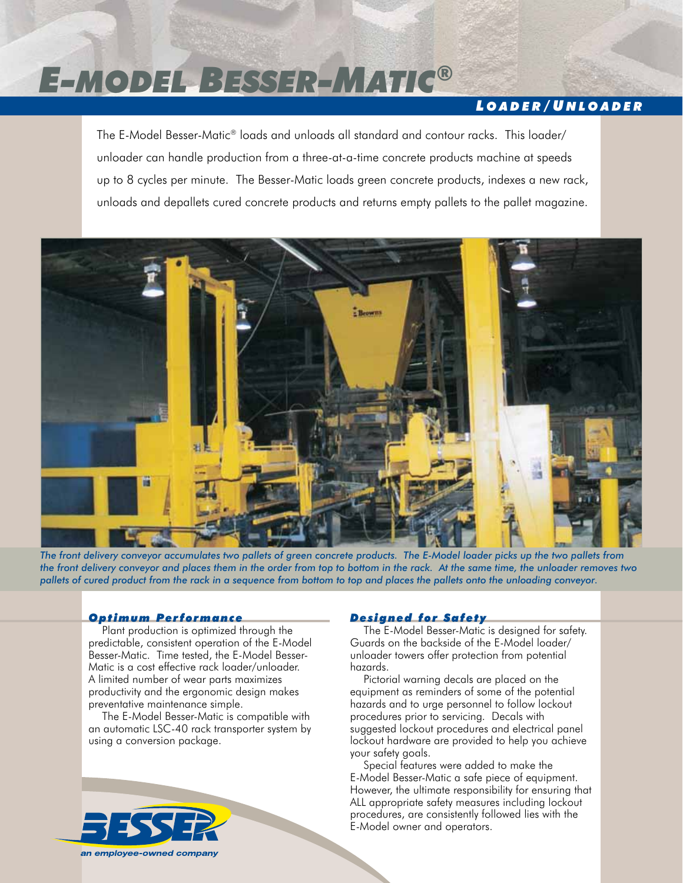# *E-model Besser-Matic®*

# *L o a d e r / U n l o a d e r*

The E-Model Besser-Matic® loads and unloads all standard and contour racks. This loader/ unloader can handle production from a three-at-a-time concrete products machine at speeds up to 8 cycles per minute. The Besser-Matic loads green concrete products, indexes a new rack, unloads and depallets cured concrete products and returns empty pallets to the pallet magazine.



*The front delivery conveyor accumulates two pallets of green concrete products. The E-Model loader picks up the two pallets from the front delivery conveyor and places them in the order from top to bottom in the rack. At the same time, the unloader removes two pallets of cured product from the rack in a sequence from bottom to top and places the pallets onto the unloading conveyor.*

#### *Opt imum Performance*

Plant production is optimized through the predictable, consistent operation of the E-Model Besser-Matic. Time tested, the E-Model Besser-Matic is a cost effective rack loader/unloader. A limited number of wear parts maximizes productivity and the ergonomic design makes preventative maintenance simple.

The E-Model Besser-Matic is compatible with an automatic LSC-40 rack transporter system by using a conversion package.



# *Des igned for Safety*

The E-Model Besser-Matic is designed for safety. Guards on the backside of the E-Model loader/ unloader towers offer protection from potential hazards.

Pictorial warning decals are placed on the equipment as reminders of some of the potential hazards and to urge personnel to follow lockout procedures prior to servicing. Decals with suggested lockout procedures and electrical panel lockout hardware are provided to help you achieve your safety goals.

Special features were added to make the E-Model Besser-Matic a safe piece of equipment. However, the ultimate responsibility for ensuring that ALL appropriate safety measures including lockout procedures, are consistently followed lies with the E-Model owner and operators.